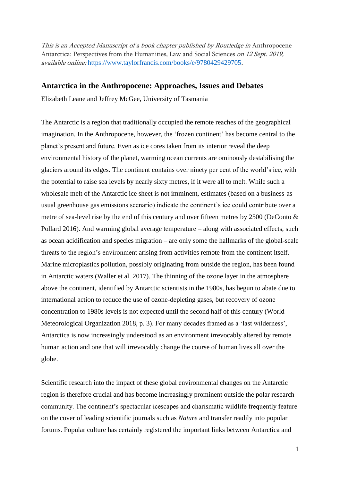This is an Accepted Manuscript of a book chapter published by Routledge in Anthropocene Antarctica: Perspectives from the Humanities, Law and Social Sciences on 12 Sept. 2019, available online: [https://www.taylorfrancis.com/books/e/9780429429705.](https://www.taylorfrancis.com/books/e/9780429429705)

## **Antarctica in the Anthropocene: Approaches, Issues and Debates**

Elizabeth Leane and Jeffrey McGee, University of Tasmania

The Antarctic is a region that traditionally occupied the remote reaches of the geographical imagination. In the Anthropocene, however, the 'frozen continent' has become central to the planet's present and future. Even as ice cores taken from its interior reveal the deep environmental history of the planet, warming ocean currents are ominously destabilising the glaciers around its edges. The continent contains over ninety per cent of the world's ice, with the potential to raise sea levels by nearly sixty metres, if it were all to melt. While such a wholesale melt of the Antarctic ice sheet is not imminent, estimates (based on a business-asusual greenhouse gas emissions scenario) indicate the continent's ice could contribute over a metre of sea-level rise by the end of this century and over fifteen metres by 2500 (DeConto & Pollard 2016). And warming global average temperature – along with associated effects, such as ocean acidification and species migration – are only some the hallmarks of the global-scale threats to the region's environment arising from activities remote from the continent itself. Marine microplastics pollution, possibly originating from outside the region, has been found in Antarctic waters (Waller et al. 2017). The thinning of the ozone layer in the atmosphere above the continent, identified by Antarctic scientists in the 1980s, has begun to abate due to international action to reduce the use of ozone-depleting gases, but recovery of ozone concentration to 1980s levels is not expected until the second half of this century (World Meteorological Organization 2018, p. 3). For many decades framed as a 'last wilderness', Antarctica is now increasingly understood as an environment irrevocably altered by remote human action and one that will irrevocably change the course of human lives all over the globe.

Scientific research into the impact of these global environmental changes on the Antarctic region is therefore crucial and has become increasingly prominent outside the polar research community. The continent's spectacular icescapes and charismatic wildlife frequently feature on the cover of leading scientific journals such as *Nature* and transfer readily into popular forums. Popular culture has certainly registered the important links between Antarctica and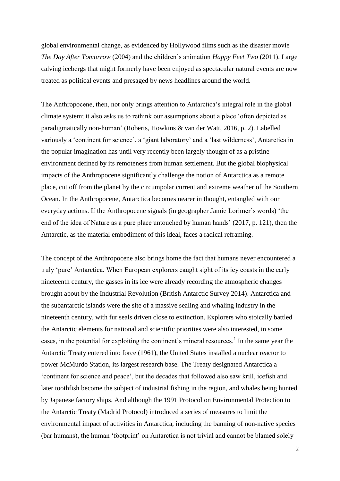global environmental change, as evidenced by Hollywood films such as the disaster movie *The Day After Tomorrow* (2004) and the children's animation *Happy Feet Two* (2011). Large calving icebergs that might formerly have been enjoyed as spectacular natural events are now treated as political events and presaged by news headlines around the world.

The Anthropocene, then, not only brings attention to Antarctica's integral role in the global climate system; it also asks us to rethink our assumptions about a place 'often depicted as paradigmatically non-human' (Roberts, Howkins & van der Watt, 2016, p. 2). Labelled variously a 'continent for science', a 'giant laboratory' and a 'last wilderness', Antarctica in the popular imagination has until very recently been largely thought of as a pristine environment defined by its remoteness from human settlement. But the global biophysical impacts of the Anthropocene significantly challenge the notion of Antarctica as a remote place, cut off from the planet by the circumpolar current and extreme weather of the Southern Ocean. In the Anthropocene, Antarctica becomes nearer in thought, entangled with our everyday actions. If the Anthropocene signals (in geographer Jamie Lorimer's words) 'the end of the idea of Nature as a pure place untouched by human hands' (2017, p. 121), then the Antarctic, as the material embodiment of this ideal, faces a radical reframing.

The concept of the Anthropocene also brings home the fact that humans never encountered a truly 'pure' Antarctica. When European explorers caught sight of its icy coasts in the early nineteenth century, the gasses in its ice were already recording the atmospheric changes brought about by the Industrial Revolution (British Antarctic Survey 2014). Antarctica and the subantarctic islands were the site of a massive sealing and whaling industry in the nineteenth century, with fur seals driven close to extinction. Explorers who stoically battled the Antarctic elements for national and scientific priorities were also interested, in some cases, in the potential for exploiting the continent's mineral resources.<sup>1</sup> In the same year the Antarctic Treaty entered into force (1961), the United States installed a nuclear reactor to power McMurdo Station, its largest research base. The Treaty designated Antarctica a 'continent for science and peace', but the decades that followed also saw krill, icefish and later toothfish become the subject of industrial fishing in the region, and whales being hunted by Japanese factory ships. And although the 1991 Protocol on Environmental Protection to the Antarctic Treaty (Madrid Protocol) introduced a series of measures to limit the environmental impact of activities in Antarctica, including the banning of non-native species (bar humans), the human 'footprint' on Antarctica is not trivial and cannot be blamed solely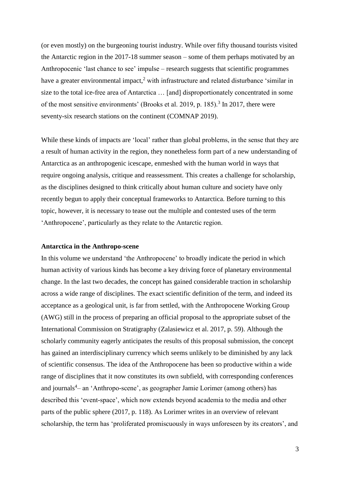(or even mostly) on the burgeoning tourist industry. While over fifty thousand tourists visited the Antarctic region in the 2017-18 summer season – some of them perhaps motivated by an Anthropocenic 'last chance to see' impulse – research suggests that scientific programmes have a greater environmental impact,<sup>2</sup> with infrastructure and related disturbance 'similar in size to the total ice-free area of Antarctica … [and] disproportionately concentrated in some of the most sensitive environments' (Brooks et al. 2019, p. 185).<sup>3</sup> In 2017, there were seventy-six research stations on the continent (COMNAP 2019).

While these kinds of impacts are 'local' rather than global problems, in the sense that they are a result of human activity in the region, they nonetheless form part of a new understanding of Antarctica as an anthropogenic icescape, enmeshed with the human world in ways that require ongoing analysis, critique and reassessment. This creates a challenge for scholarship, as the disciplines designed to think critically about human culture and society have only recently begun to apply their conceptual frameworks to Antarctica. Before turning to this topic, however, it is necessary to tease out the multiple and contested uses of the term 'Anthropocene', particularly as they relate to the Antarctic region.

## **Antarctica in the Anthropo-scene**

In this volume we understand 'the Anthropocene' to broadly indicate the period in which human activity of various kinds has become a key driving force of planetary environmental change. In the last two decades, the concept has gained considerable traction in scholarship across a wide range of disciplines. The exact scientific definition of the term, and indeed its acceptance as a geological unit, is far from settled, with the Anthropocene Working Group (AWG) still in the process of preparing an official proposal to the appropriate subset of the International Commission on Stratigraphy (Zalasiewicz et al. 2017, p. 59). Although the scholarly community eagerly anticipates the results of this proposal submission, the concept has gained an interdisciplinary currency which seems unlikely to be diminished by any lack of scientific consensus. The idea of the Anthropocene has been so productive within a wide range of disciplines that it now constitutes its own subfield, with corresponding conferences and journals<sup>4</sup> – an 'Anthropo-scene', as geographer Jamie Lorimer (among others) has described this 'event-space', which now extends beyond academia to the media and other parts of the public sphere (2017, p. 118). As Lorimer writes in an overview of relevant scholarship, the term has 'proliferated promiscuously in ways unforeseen by its creators', and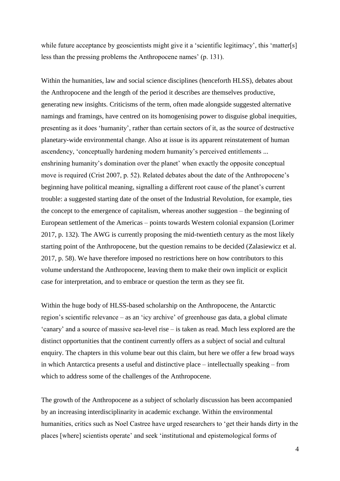while future acceptance by geoscientists might give it a 'scientific legitimacy', this 'matter[s] less than the pressing problems the Anthropocene names' (p. 131).

Within the humanities, law and social science disciplines (henceforth HLSS), debates about the Anthropocene and the length of the period it describes are themselves productive, generating new insights. Criticisms of the term, often made alongside suggested alternative namings and framings, have centred on its homogenising power to disguise global inequities, presenting as it does 'humanity', rather than certain sectors of it, as the source of destructive planetary-wide environmental change. Also at issue is its apparent reinstatement of human ascendency, 'conceptually hardening modern humanity's perceived entitlements ... enshrining humanity's domination over the planet' when exactly the opposite conceptual move is required (Crist 2007, p. 52). Related debates about the date of the Anthropocene's beginning have political meaning, signalling a different root cause of the planet's current trouble: a suggested starting date of the onset of the Industrial Revolution, for example, ties the concept to the emergence of capitalism, whereas another suggestion – the beginning of European settlement of the Americas – points towards Western colonial expansion (Lorimer 2017, p. 132). The AWG is currently proposing the mid-twentieth century as the most likely starting point of the Anthropocene, but the question remains to be decided (Zalasiewicz et al. 2017, p. 58). We have therefore imposed no restrictions here on how contributors to this volume understand the Anthropocene, leaving them to make their own implicit or explicit case for interpretation, and to embrace or question the term as they see fit.

Within the huge body of HLSS-based scholarship on the Anthropocene, the Antarctic region's scientific relevance – as an 'icy archive' of greenhouse gas data, a global climate 'canary' and a source of massive sea-level rise – is taken as read. Much less explored are the distinct opportunities that the continent currently offers as a subject of social and cultural enquiry. The chapters in this volume bear out this claim, but here we offer a few broad ways in which Antarctica presents a useful and distinctive place – intellectually speaking – from which to address some of the challenges of the Anthropocene.

The growth of the Anthropocene as a subject of scholarly discussion has been accompanied by an increasing interdisciplinarity in academic exchange. Within the environmental humanities, critics such as Noel Castree have urged researchers to 'get their hands dirty in the places [where] scientists operate' and seek 'institutional and epistemological forms of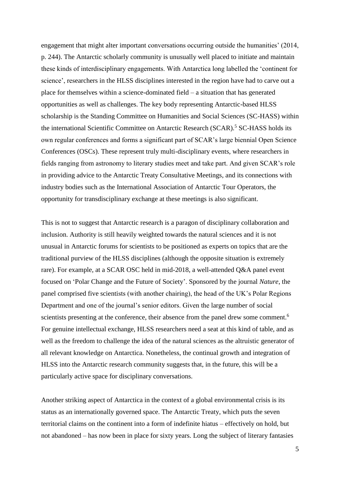engagement that might alter important conversations occurring outside the humanities' (2014, p. 244). The Antarctic scholarly community is unusually well placed to initiate and maintain these kinds of interdisciplinary engagements. With Antarctica long labelled the 'continent for science', researchers in the HLSS disciplines interested in the region have had to carve out a place for themselves within a science-dominated field – a situation that has generated opportunities as well as challenges. The key body representing Antarctic-based HLSS scholarship is the Standing Committee on Humanities and Social Sciences (SC-HASS) within the international Scientific Committee on Antarctic Research (SCAR).<sup>5</sup> SC-HASS holds its own regular conferences and forms a significant part of SCAR's large biennial Open Science Conferences (OSCs). These represent truly multi-disciplinary events, where researchers in fields ranging from astronomy to literary studies meet and take part. And given SCAR's role in providing advice to the Antarctic Treaty Consultative Meetings, and its connections with industry bodies such as the International Association of Antarctic Tour Operators, the opportunity for transdisciplinary exchange at these meetings is also significant.

This is not to suggest that Antarctic research is a paragon of disciplinary collaboration and inclusion. Authority is still heavily weighted towards the natural sciences and it is not unusual in Antarctic forums for scientists to be positioned as experts on topics that are the traditional purview of the HLSS disciplines (although the opposite situation is extremely rare). For example, at a SCAR OSC held in mid-2018, a well-attended Q&A panel event focused on 'Polar Change and the Future of Society'. Sponsored by the journal *Nature*, the panel comprised five scientists (with another chairing), the head of the UK's Polar Regions Department and one of the journal's senior editors. Given the large number of social scientists presenting at the conference, their absence from the panel drew some comment.<sup>6</sup> For genuine intellectual exchange, HLSS researchers need a seat at this kind of table, and as well as the freedom to challenge the idea of the natural sciences as the altruistic generator of all relevant knowledge on Antarctica. Nonetheless, the continual growth and integration of HLSS into the Antarctic research community suggests that, in the future, this will be a particularly active space for disciplinary conversations.

Another striking aspect of Antarctica in the context of a global environmental crisis is its status as an internationally governed space. The Antarctic Treaty, which puts the seven territorial claims on the continent into a form of indefinite hiatus – effectively on hold, but not abandoned – has now been in place for sixty years. Long the subject of literary fantasies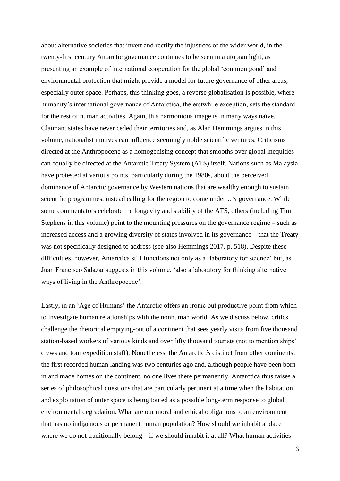about alternative societies that invert and rectify the injustices of the wider world, in the twenty-first century Antarctic governance continues to be seen in a utopian light, as presenting an example of international cooperation for the global 'common good' and environmental protection that might provide a model for future governance of other areas, especially outer space. Perhaps, this thinking goes, a reverse globalisation is possible, where humanity's international governance of Antarctica, the erstwhile exception, sets the standard for the rest of human activities. Again, this harmonious image is in many ways naïve. Claimant states have never ceded their territories and, as Alan Hemmings argues in this volume, nationalist motives can influence seemingly noble scientific ventures. Criticisms directed at the Anthropocene as a homogenising concept that smooths over global inequities can equally be directed at the Antarctic Treaty System (ATS) itself. Nations such as Malaysia have protested at various points, particularly during the 1980s, about the perceived dominance of Antarctic governance by Western nations that are wealthy enough to sustain scientific programmes, instead calling for the region to come under UN governance. While some commentators celebrate the longevity and stability of the ATS, others (including Tim Stephens in this volume) point to the mounting pressures on the governance regime – such as increased access and a growing diversity of states involved in its governance – that the Treaty was not specifically designed to address (see also Hemmings 2017, p. 518). Despite these difficulties, however, Antarctica still functions not only as a 'laboratory for science' but, as Juan Francisco Salazar suggests in this volume, 'also a laboratory for thinking alternative ways of living in the Anthropocene'.

Lastly, in an 'Age of Humans' the Antarctic offers an ironic but productive point from which to investigate human relationships with the nonhuman world. As we discuss below, critics challenge the rhetorical emptying-out of a continent that sees yearly visits from five thousand station-based workers of various kinds and over fifty thousand tourists (not to mention ships' crews and tour expedition staff). Nonetheless, the Antarctic *is* distinct from other continents: the first recorded human landing was two centuries ago and, although people have been born in and made homes on the continent, no one lives there permanently. Antarctica thus raises a series of philosophical questions that are particularly pertinent at a time when the habitation and exploitation of outer space is being touted as a possible long-term response to global environmental degradation. What are our moral and ethical obligations to an environment that has no indigenous or permanent human population? How should we inhabit a place where we do not traditionally belong – if we should inhabit it at all? What human activities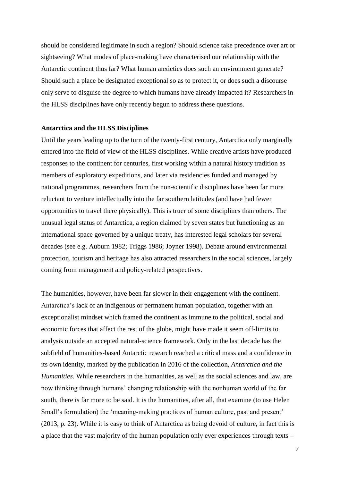should be considered legitimate in such a region? Should science take precedence over art or sightseeing? What modes of place-making have characterised our relationship with the Antarctic continent thus far? What human anxieties does such an environment generate? Should such a place be designated exceptional so as to protect it, or does such a discourse only serve to disguise the degree to which humans have already impacted it? Researchers in the HLSS disciplines have only recently begun to address these questions.

## **Antarctica and the HLSS Disciplines**

Until the years leading up to the turn of the twenty-first century, Antarctica only marginally entered into the field of view of the HLSS disciplines. While creative artists have produced responses to the continent for centuries, first working within a natural history tradition as members of exploratory expeditions, and later via residencies funded and managed by national programmes, researchers from the non-scientific disciplines have been far more reluctant to venture intellectually into the far southern latitudes (and have had fewer opportunities to travel there physically). This is truer of some disciplines than others. The unusual legal status of Antarctica, a region claimed by seven states but functioning as an international space governed by a unique treaty, has interested legal scholars for several decades (see e.g. Auburn 1982; Triggs 1986; Joyner 1998). Debate around environmental protection, tourism and heritage has also attracted researchers in the social sciences, largely coming from management and policy-related perspectives.

The humanities, however, have been far slower in their engagement with the continent. Antarctica's lack of an indigenous or permanent human population, together with an exceptionalist mindset which framed the continent as immune to the political, social and economic forces that affect the rest of the globe, might have made it seem off-limits to analysis outside an accepted natural-science framework. Only in the last decade has the subfield of humanities-based Antarctic research reached a critical mass and a confidence in its own identity, marked by the publication in 2016 of the collection, *Antarctica and the Humanities*. While researchers in the humanities, as well as the social sciences and law, are now thinking through humans' changing relationship with the nonhuman world of the far south, there is far more to be said. It is the humanities, after all, that examine (to use Helen Small's formulation) the 'meaning-making practices of human culture, past and present' (2013, p. 23). While it is easy to think of Antarctica as being devoid of culture, in fact this is a place that the vast majority of the human population only ever experiences through texts –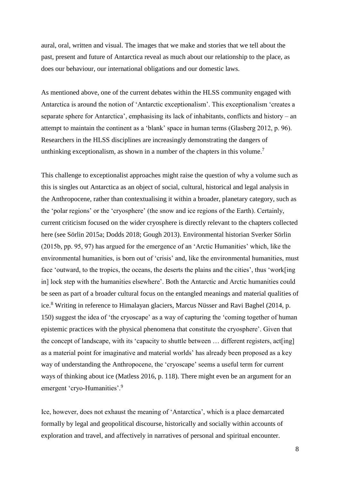aural, oral, written and visual. The images that we make and stories that we tell about the past, present and future of Antarctica reveal as much about our relationship to the place, as does our behaviour, our international obligations and our domestic laws.

As mentioned above, one of the current debates within the HLSS community engaged with Antarctica is around the notion of 'Antarctic exceptionalism'. This exceptionalism 'creates a separate sphere for Antarctica', emphasising its lack of inhabitants, conflicts and history – an attempt to maintain the continent as a 'blank' space in human terms (Glasberg 2012, p. 96). Researchers in the HLSS disciplines are increasingly demonstrating the dangers of unthinking exceptionalism, as shown in a number of the chapters in this volume.<sup>7</sup>

This challenge to exceptionalist approaches might raise the question of why a volume such as this is singles out Antarctica as an object of social, cultural, historical and legal analysis in the Anthropocene, rather than contextualising it within a broader, planetary category, such as the 'polar regions' or the 'cryosphere' (the snow and ice regions of the Earth). Certainly, current criticism focused on the wider cryosphere is directly relevant to the chapters collected here (see Sörlin 2015a; Dodds 2018; Gough 2013). Environmental historian Sverker Sörlin (2015b, pp. 95, 97) has argued for the emergence of an 'Arctic Humanities' which, like the environmental humanities, is born out of 'crisis' and, like the environmental humanities, must face 'outward, to the tropics, the oceans, the deserts the plains and the cities', thus 'work[ing in] lock step with the humanities elsewhere'. Both the Antarctic and Arctic humanities could be seen as part of a broader cultural focus on the entangled meanings and material qualities of ice.<sup>8</sup> Writing in reference to Himalayan glaciers, Marcus Nüsser and Ravi Baghel (2014, p. 150) suggest the idea of 'the cryoscape' as a way of capturing the 'coming together of human epistemic practices with the physical phenomena that constitute the cryosphere'. Given that the concept of landscape, with its 'capacity to shuttle between … different registers, act[ing] as a material point for imaginative and material worlds' has already been proposed as a key way of understanding the Anthropocene, the 'cryoscape' seems a useful term for current ways of thinking about ice (Matless 2016, p. 118). There might even be an argument for an emergent 'cryo-Humanities'.<sup>9</sup>

Ice, however, does not exhaust the meaning of 'Antarctica', which is a place demarcated formally by legal and geopolitical discourse, historically and socially within accounts of exploration and travel, and affectively in narratives of personal and spiritual encounter.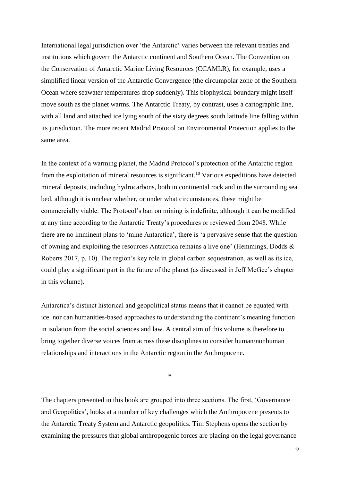International legal jurisdiction over 'the Antarctic' varies between the relevant treaties and institutions which govern the Antarctic continent and Southern Ocean. The Convention on the Conservation of Antarctic Marine Living Resources (CCAMLR), for example, uses a simplified linear version of the Antarctic Convergence (the circumpolar zone of the Southern Ocean where seawater temperatures drop suddenly). This biophysical boundary might itself move south as the planet warms. The Antarctic Treaty, by contrast, uses a cartographic line, with all land and attached ice lying south of the sixty degrees south latitude line falling within its jurisdiction. The more recent Madrid Protocol on Environmental Protection applies to the same area.

In the context of a warming planet, the Madrid Protocol's protection of the Antarctic region from the exploitation of mineral resources is significant.<sup>10</sup> Various expeditions have detected mineral deposits, including hydrocarbons, both in continental rock and in the surrounding sea bed, although it is unclear whether, or under what circumstances, these might be commercially viable. The Protocol's ban on mining is indefinite, although it can be modified at any time according to the Antarctic Treaty's procedures or reviewed from 2048. While there are no imminent plans to 'mine Antarctica', there is 'a pervasive sense that the question of owning and exploiting the resources Antarctica remains a live one' (Hemmings, Dodds & Roberts 2017, p. 10). The region's key role in global carbon sequestration, as well as its ice, could play a significant part in the future of the planet (as discussed in Jeff McGee's chapter in this volume).

Antarctica's distinct historical and geopolitical status means that it cannot be equated with ice, nor can humanities-based approaches to understanding the continent's meaning function in isolation from the social sciences and law. A central aim of this volume is therefore to bring together diverse voices from across these disciplines to consider human/nonhuman relationships and interactions in the Antarctic region in the Anthropocene.

**\***

The chapters presented in this book are grouped into three sections. The first, 'Governance and Geopolitics', looks at a number of key challenges which the Anthropocene presents to the Antarctic Treaty System and Antarctic geopolitics. Tim Stephens opens the section by examining the pressures that global anthropogenic forces are placing on the legal governance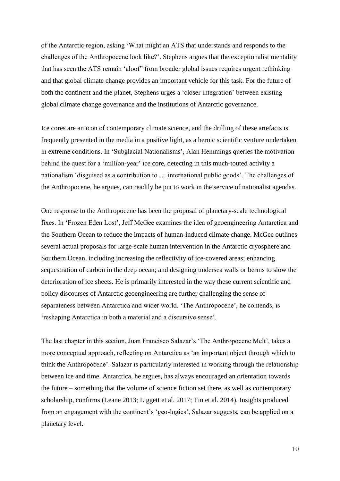of the Antarctic region, asking 'What might an ATS that understands and responds to the challenges of the Anthropocene look like?'. Stephens argues that the exceptionalist mentality that has seen the ATS remain 'aloof" from broader global issues requires urgent rethinking and that global climate change provides an important vehicle for this task. For the future of both the continent and the planet, Stephens urges a 'closer integration' between existing global climate change governance and the institutions of Antarctic governance.

Ice cores are an icon of contemporary climate science, and the drilling of these artefacts is frequently presented in the media in a positive light, as a heroic scientific venture undertaken in extreme conditions. In 'Subglacial Nationalisms', Alan Hemmings queries the motivation behind the quest for a 'million-year' ice core, detecting in this much-touted activity a nationalism 'disguised as a contribution to … international public goods'. The challenges of the Anthropocene, he argues, can readily be put to work in the service of nationalist agendas.

One response to the Anthropocene has been the proposal of planetary-scale technological fixes. In 'Frozen Eden Lost', Jeff McGee examines the idea of geoengineering Antarctica and the Southern Ocean to reduce the impacts of human-induced climate change. McGee outlines several actual proposals for large-scale human intervention in the Antarctic cryosphere and Southern Ocean, including increasing the reflectivity of ice-covered areas; enhancing sequestration of carbon in the deep ocean; and designing undersea walls or berms to slow the deterioration of ice sheets. He is primarily interested in the way these current scientific and policy discourses of Antarctic geoengineering are further challenging the sense of separateness between Antarctica and wider world. 'The Anthropocene', he contends, is 'reshaping Antarctica in both a material and a discursive sense'.

The last chapter in this section, Juan Francisco Salazar's 'The Anthropocene Melt', takes a more conceptual approach, reflecting on Antarctica as 'an important object through which to think the Anthropocene'. Salazar is particularly interested in working through the relationship between ice and time. Antarctica, he argues, has always encouraged an orientation towards the future – something that the volume of science fiction set there, as well as contemporary scholarship, confirms (Leane 2013; Liggett et al. 2017; Tin et al. 2014). Insights produced from an engagement with the continent's 'geo-logics', Salazar suggests, can be applied on a planetary level.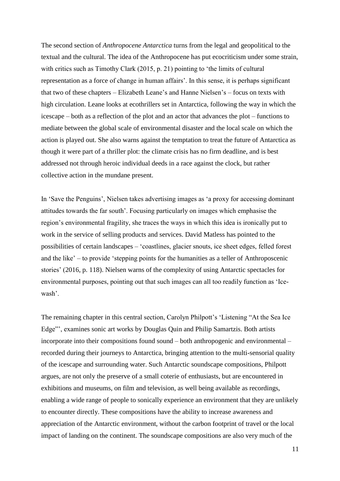The second section of *Anthropocene Antarctica* turns from the legal and geopolitical to the textual and the cultural. The idea of the Anthropocene has put ecocriticism under some strain, with critics such as Timothy Clark (2015, p. 21) pointing to 'the limits of cultural representation as a force of change in human affairs'. In this sense, it is perhaps significant that two of these chapters – Elizabeth Leane's and Hanne Nielsen's – focus on texts with high circulation. Leane looks at ecothrillers set in Antarctica, following the way in which the icescape – both as a reflection of the plot and an actor that advances the plot – functions to mediate between the global scale of environmental disaster and the local scale on which the action is played out. She also warns against the temptation to treat the future of Antarctica as though it were part of a thriller plot: the climate crisis has no firm deadline, and is best addressed not through heroic individual deeds in a race against the clock, but rather collective action in the mundane present.

In 'Save the Penguins', Nielsen takes advertising images as 'a proxy for accessing dominant attitudes towards the far south'. Focusing particularly on images which emphasise the region's environmental fragility, she traces the ways in which this idea is ironically put to work in the service of selling products and services. David Matless has pointed to the possibilities of certain landscapes – 'coastlines, glacier snouts, ice sheet edges, felled forest and the like' – to provide 'stepping points for the humanities as a teller of Anthroposcenic stories' (2016, p. 118). Nielsen warns of the complexity of using Antarctic spectacles for environmental purposes, pointing out that such images can all too readily function as 'Icewash'.

The remaining chapter in this central section, Carolyn Philpott's 'Listening "At the Sea Ice Edge"', examines sonic art works by Douglas Quin and Philip Samartzis. Both artists incorporate into their compositions found sound – both anthropogenic and environmental – recorded during their journeys to Antarctica, bringing attention to the multi-sensorial quality of the icescape and surrounding water. Such Antarctic soundscape compositions, Philpott argues, are not only the preserve of a small coterie of enthusiasts, but are encountered in exhibitions and museums, on film and television, as well being available as recordings, enabling a wide range of people to sonically experience an environment that they are unlikely to encounter directly. These compositions have the ability to increase awareness and appreciation of the Antarctic environment, without the carbon footprint of travel or the local impact of landing on the continent. The soundscape compositions are also very much of the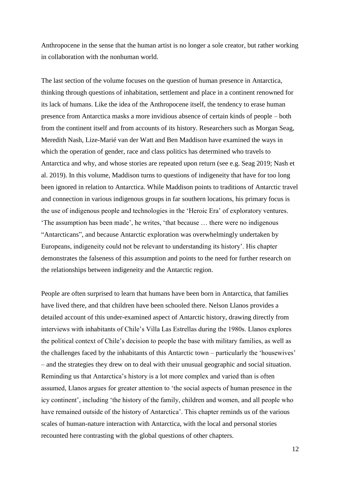Anthropocene in the sense that the human artist is no longer a sole creator, but rather working in collaboration with the nonhuman world.

The last section of the volume focuses on the question of human presence in Antarctica, thinking through questions of inhabitation, settlement and place in a continent renowned for its lack of humans. Like the idea of the Anthropocene itself, the tendency to erase human presence from Antarctica masks a more invidious absence of certain kinds of people – both from the continent itself and from accounts of its history. Researchers such as Morgan Seag, Meredith Nash, Lize-Marié van der Watt and Ben Maddison have examined the ways in which the operation of gender, race and class politics has determined who travels to Antarctica and why, and whose stories are repeated upon return (see e.g. Seag 2019; Nash et al. 2019). In this volume, Maddison turns to questions of indigeneity that have for too long been ignored in relation to Antarctica. While Maddison points to traditions of Antarctic travel and connection in various indigenous groups in far southern locations, his primary focus is the use of indigenous people and technologies in the 'Heroic Era' of exploratory ventures. 'The assumption has been made', he writes, 'that because … there were no indigenous "Antarcticans", and because Antarctic exploration was overwhelmingly undertaken by Europeans, indigeneity could not be relevant to understanding its history'. His chapter demonstrates the falseness of this assumption and points to the need for further research on the relationships between indigeneity and the Antarctic region.

People are often surprised to learn that humans have been born in Antarctica, that families have lived there, and that children have been schooled there. Nelson Llanos provides a detailed account of this under-examined aspect of Antarctic history, drawing directly from interviews with inhabitants of Chile's Villa Las Estrellas during the 1980s. Llanos explores the political context of Chile's decision to people the base with military families, as well as the challenges faced by the inhabitants of this Antarctic town – particularly the 'housewives' – and the strategies they drew on to deal with their unusual geographic and social situation. Reminding us that Antarctica's history is a lot more complex and varied than is often assumed, Llanos argues for greater attention to 'the social aspects of human presence in the icy continent', including 'the history of the family, children and women, and all people who have remained outside of the history of Antarctica'. This chapter reminds us of the various scales of human-nature interaction with Antarctica, with the local and personal stories recounted here contrasting with the global questions of other chapters.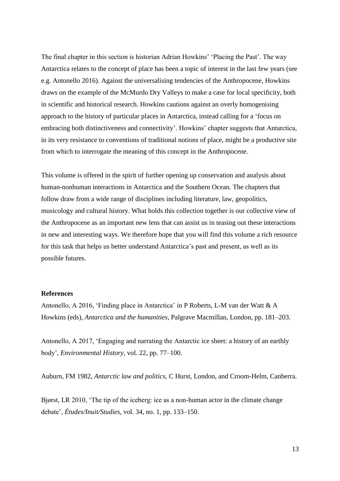The final chapter in this section is historian Adrian Howkins' 'Placing the Past'. The way Antarctica relates to the concept of place has been a topic of interest in the last few years (see e.g. Antonello 2016). Against the universalising tendencies of the Anthropocene, Howkins draws on the example of the McMurdo Dry Valleys to make a case for local specificity, both in scientific and historical research. Howkins cautions against an overly homogenising approach to the history of particular places in Antarctica, instead calling for a 'focus on embracing both distinctiveness and connectivity'. Howkins' chapter suggests that Antarctica, in its very resistance to conventions of traditional notions of place, might be a productive site from which to interrogate the meaning of this concept in the Anthropocene.

This volume is offered in the spirit of further opening up conservation and analysis about human-nonhuman interactions in Antarctica and the Southern Ocean. The chapters that follow draw from a wide range of disciplines including literature, law, geopolitics, musicology and cultural history. What holds this collection together is our collective view of the Anthropocene as an important new lens that can assist us in teasing out these interactions in new and interesting ways. We therefore hope that you will find this volume a rich resource for this task that helps us better understand Antarctica's past and present, as well as its possible futures.

## **References**

Antonello, A 2016, 'Finding place in Antarctica' in P Roberts, L-M van der Watt & A Howkins (eds), *Antarctica and the humanities*, Palgrave Macmillan, London, pp. 181–203.

Antonello, A 2017, 'Engaging and narrating the Antarctic ice sheet: a history of an earthly body', *Environmental History*, vol. 22, pp. 77–100.

Auburn, FM 1982, *Antarctic law and politics*, C Hurst, London, and Croom-Helm, Canberra.

Bjørst, LR 2010, 'The tip of the iceberg: ice as a non-human actor in the climate change debate', *Études/Inuit/Studies*, vol. 34, no. 1, pp. 133–150.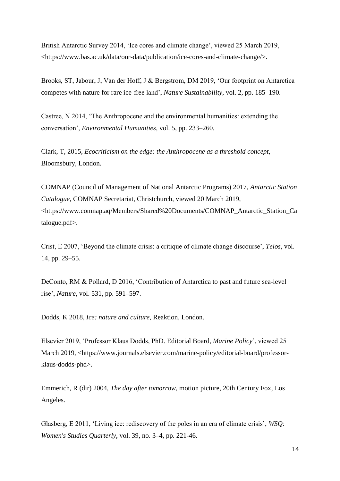British Antarctic Survey 2014, 'Ice cores and climate change', viewed 25 March 2019, <https://www.bas.ac.uk/data/our-data/publication/ice-cores-and-climate-change/>.

Brooks, ST, Jabour, J, Van der Hoff, J & Bergstrom, DM 2019, 'Our footprint on Antarctica competes with nature for rare ice-free land', *Nature Sustainability*, vol. 2, pp. 185–190.

Castree, N 2014, 'The Anthropocene and the environmental humanities: extending the conversation', *Environmental Humanities*, vol. 5, pp. 233–260.

Clark, T, 2015, *Ecocriticism on the edge: the Anthropocene as a threshold concept*, Bloomsbury, London.

COMNAP (Council of Management of National Antarctic Programs) 2017, *Antarctic Station Catalogue*, COMNAP Secretariat, Christchurch, viewed 20 March 2019, <https://www.comnap.aq/Members/Shared%20Documents/COMNAP\_Antarctic\_Station\_Ca talogue.pdf>.

Crist, E 2007, 'Beyond the climate crisis: a critique of climate change discourse', *Telos*, vol. 14, pp. 29–55.

DeConto, RM & Pollard, D 2016, 'Contribution of Antarctica to past and future sea-level rise', *Nature*, vol. 531, pp. 591–597.

Dodds, K 2018, *Ice: nature and culture*, Reaktion, London.

Elsevier 2019, 'Professor Klaus Dodds, PhD. Editorial Board, *Marine Policy*', viewed 25 March 2019, <https://www.journals.elsevier.com/marine-policy/editorial-board/professorklaus-dodds-phd>.

Emmerich, R (dir) 2004, *The day after tomorrow*, motion picture, 20th Century Fox, Los Angeles.

Glasberg, E 2011, 'Living ice: rediscovery of the poles in an era of climate crisis', *WSQ: Women's Studies Quarterly*, vol. 39, no. 3–4, pp. 221-46.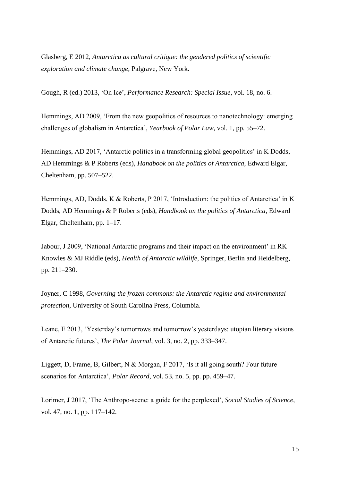Glasberg, E 2012, *Antarctica as cultural critique: the gendered politics of scientific exploration and climate change*, Palgrave, New York.

Gough, R (ed.) 2013, 'On Ice', *Performance Research: Special Issue*, vol. 18, no. 6.

Hemmings, AD 2009, 'From the new geopolitics of resources to nanotechnology: emerging challenges of globalism in Antarctica', *Yearbook of Polar Law*, vol. 1, pp. 55–72.

Hemmings, AD 2017, 'Antarctic politics in a transforming global geopolitics' in K Dodds, AD Hemmings & P Roberts (eds), *Handbook on the politics of Antarctica*, Edward Elgar, Cheltenham, pp. 507–522.

Hemmings, AD, Dodds, K & Roberts, P 2017, 'Introduction: the politics of Antarctica' in K Dodds, AD Hemmings & P Roberts (eds), *Handbook on the politics of Antarctica*, Edward Elgar, Cheltenham, pp. 1–17.

Jabour, J 2009, 'National Antarctic programs and their impact on the environment' in RK Knowles & MJ Riddle (eds), *Health of Antarctic wildlife*, Springer, Berlin and Heidelberg, pp. 211–230.

Joyner, C 1998, *Governing the frozen commons: the Antarctic regime and environmental protection*, University of South Carolina Press, Columbia.

Leane, E 2013, 'Yesterday's tomorrows and tomorrow's yesterdays: utopian literary visions of Antarctic futures', *The Polar Journal*, vol. 3, no. 2, pp. 333–347.

Liggett, D, Frame, B, Gilbert, N & Morgan, F 2017, 'Is it all going south? Four future scenarios for Antarctica', *Polar Record*, vol. 53, no. 5, pp. pp. 459–47.

Lorimer, J 2017, 'The Anthropo-scene: a guide for the perplexed', *Social Studies of Science*, vol. 47, no. 1, pp. 117–142.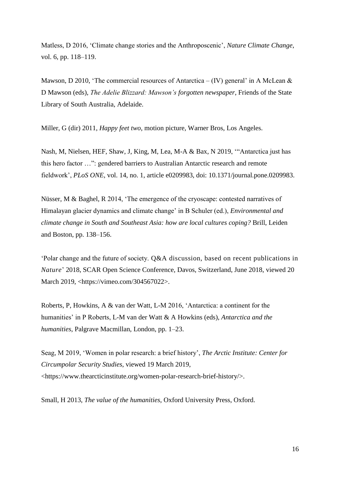Matless, D 2016, 'Climate change stories and the Anthroposcenic', *Nature Climate Change*, vol. 6, pp. 118–119.

Mawson, D 2010, 'The commercial resources of Antarctica – (IV) general' in A McLean  $\&$ D Mawson (eds), *The Adelie Blizzard: Mawson's forgotten newspaper*, Friends of the State Library of South Australia, Adelaide.

Miller, G (dir) 2011, *Happy feet two*, motion picture, Warner Bros, Los Angeles.

Nash, M, Nielsen, HEF, Shaw, J, King, M, Lea, M-A & Bax, N 2019, '"Antarctica just has this hero factor …": gendered barriers to Australian Antarctic research and remote fieldwork', *PLoS ONE*, vol. 14, no. 1, article e0209983, doi: 10.1371/journal.pone.0209983.

Nüsser, M & Baghel, R 2014, 'The emergence of the cryoscape: contested narratives of Himalayan glacier dynamics and climate change' in B Schuler (ed.), *Environmental and climate change in South and Southeast Asia: how are local cultures coping?* Brill, Leiden and Boston, pp. 138–156.

'Polar change and the future of society. Q&A discussion, based on recent publications in *Nature*' 2018, SCAR Open Science Conference, Davos, Switzerland, June 2018, viewed 20 March 2019, <https://vimeo.com/304567022>.

Roberts, P, Howkins, A & van der Watt, L-M 2016, 'Antarctica: a continent for the humanities' in P Roberts, L-M van der Watt & A Howkins (eds), *Antarctica and the humanities*, Palgrave Macmillan, London, pp. 1–23.

Seag, M 2019, 'Women in polar research: a brief history', *The Arctic Institute: Center for Circumpolar Security Studies*, viewed 19 March 2019, <https://www.thearcticinstitute.org/women-polar-research-brief-history/>.

Small, H 2013, *The value of the humanities*, Oxford University Press, Oxford.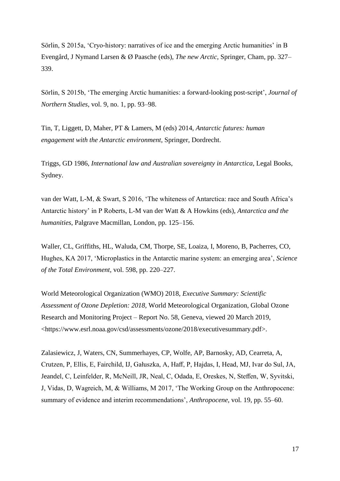Sörlin, S 2015a, 'Cryo-history: narratives of ice and the emerging Arctic humanities' in B Evengård, J Nymand Larsen & Ø Paasche (eds), *The new Arctic*, Springer, Cham, pp. 327– 339.

Sörlin, S 2015b, 'The emerging Arctic humanities: a forward-looking post-script', *Journal of Northern Studies*, vol. 9, no. 1, pp. 93–98.

Tin, T, Liggett, D, Maher, PT & Lamers, M (eds) 2014, *Antarctic futures: human engagement with the Antarctic environment*, Springer, Dordrecht.

Triggs, GD 1986, *International law and Australian sovereignty in Antarctica*, Legal Books, Sydney.

van der Watt, L-M, & Swart, S 2016, 'The whiteness of Antarctica: race and South Africa's Antarctic history' in P Roberts, L-M van der Watt & A Howkins (eds), *Antarctica and the humanities*, Palgrave Macmillan, London, pp. 125–156.

Waller, CL, Griffiths, HL, Waluda, CM, Thorpe, SE, Loaiza, I, Moreno, B, Pacherres, CO, Hughes, KA 2017, 'Microplastics in the Antarctic marine system: an emerging area', *Science of the Total Environment*, vol. 598, pp. 220–227.

World Meteorological Organization (WMO) 2018, *Executive Summary: Scientific Assessment of Ozone Depletion: 2018,* World Meteorological Organization, Global Ozone Research and Monitoring Project – Report No. 58, Geneva, viewed 20 March 2019, <https://www.esrl.noaa.gov/csd/assessments/ozone/2018/executivesummary.pdf>.

Zalasiewicz, J, Waters, CN, Summerhayes, CP, Wolfe, AP, Barnosky, AD, Cearreta, A, Crutzen, P, Ellis, E, Fairchild, IJ, Gałuszka, A, Haff, P, Hajdas, I, Head, MJ, Ivar do Sul, JA, Jeandel, C, Leinfelder, R, McNeill, JR, Neal, C, Odada, E, Oreskes, N, Steffen, W, Syvitski, J, Vidas, D, Wagreich, M, & Williams, M 2017, 'The Working Group on the Anthropocene: summary of evidence and interim recommendations', *Anthropocene*, vol. 19, pp. 55–60.